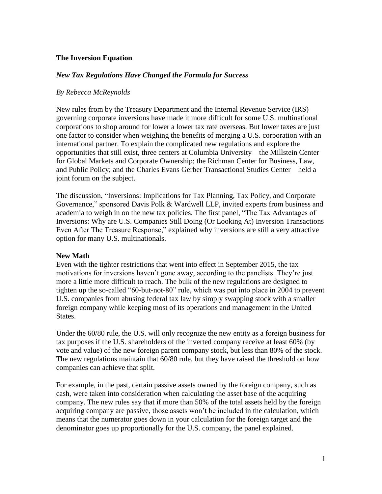#### **The Inversion Equation**

#### *New Tax Regulations Have Changed the Formula for Success*

#### *By Rebecca McReynolds*

New rules from by the Treasury Department and the Internal Revenue Service (IRS) governing corporate inversions have made it more difficult for some U.S. multinational corporations to shop around for lower a lower tax rate overseas. But lower taxes are just one factor to consider when weighing the benefits of merging a U.S. corporation with an international partner. To explain the complicated new regulations and explore the opportunities that still exist, three centers at Columbia University—the Millstein Center for Global Markets and Corporate Ownership; the Richman Center for Business, Law, and Public Policy; and the Charles Evans Gerber Transactional Studies Center—held a joint forum on the subject.

The discussion, "Inversions: Implications for Tax Planning, Tax Policy, and Corporate Governance," sponsored Davis Polk & Wardwell LLP, invited experts from business and academia to weigh in on the new tax policies. The first panel, "The Tax Advantages of Inversions: Why are U.S. Companies Still Doing (Or Looking At) Inversion Transactions Even After The Treasure Response," explained why inversions are still a very attractive option for many U.S. multinationals.

# **New Math**

Even with the tighter restrictions that went into effect in September 2015, the tax motivations for inversions haven't gone away, according to the panelists. They're just more a little more difficult to reach. The bulk of the new regulations are designed to tighten up the so-called "60-but-not-80" rule, which was put into place in 2004 to prevent U.S. companies from abusing federal tax law by simply swapping stock with a smaller foreign company while keeping most of its operations and management in the United States.

Under the 60/80 rule, the U.S. will only recognize the new entity as a foreign business for tax purposes if the U.S. shareholders of the inverted company receive at least 60% (by vote and value) of the new foreign parent company stock, but less than 80% of the stock. The new regulations maintain that 60/80 rule, but they have raised the threshold on how companies can achieve that split.

For example, in the past, certain passive assets owned by the foreign company, such as cash, were taken into consideration when calculating the asset base of the acquiring company. The new rules say that if more than 50% of the total assets held by the foreign acquiring company are passive, those assets won't be included in the calculation, which means that the numerator goes down in your calculation for the foreign target and the denominator goes up proportionally for the U.S. company, the panel explained.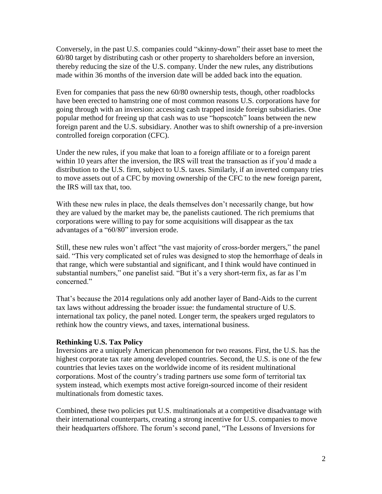Conversely, in the past U.S. companies could "skinny-down" their asset base to meet the 60/80 target by distributing cash or other property to shareholders before an inversion, thereby reducing the size of the U.S. company. Under the new rules, any distributions made within 36 months of the inversion date will be added back into the equation.

Even for companies that pass the new 60/80 ownership tests, though, other roadblocks have been erected to hamstring one of most common reasons U.S. corporations have for going through with an inversion: accessing cash trapped inside foreign subsidiaries. One popular method for freeing up that cash was to use "hopscotch" loans between the new foreign parent and the U.S. subsidiary. Another was to shift ownership of a pre-inversion controlled foreign corporation (CFC).

Under the new rules, if you make that loan to a foreign affiliate or to a foreign parent within 10 years after the inversion, the IRS will treat the transaction as if you'd made a distribution to the U.S. firm, subject to U.S. taxes. Similarly, if an inverted company tries to move assets out of a CFC by moving ownership of the CFC to the new foreign parent, the IRS will tax that, too.

With these new rules in place, the deals themselves don't necessarily change, but how they are valued by the market may be, the panelists cautioned. The rich premiums that corporations were willing to pay for some acquisitions will disappear as the tax advantages of a "60/80" inversion erode.

Still, these new rules won't affect "the vast majority of cross-border mergers," the panel said. "This very complicated set of rules was designed to stop the hemorrhage of deals in that range, which were substantial and significant, and I think would have continued in substantial numbers," one panelist said. "But it's a very short-term fix, as far as I'm concerned."

That's because the 2014 regulations only add another layer of Band-Aids to the current tax laws without addressing the broader issue: the fundamental structure of U.S. international tax policy, the panel noted. Longer term, the speakers urged regulators to rethink how the country views, and taxes, international business.

# **Rethinking U.S. Tax Policy**

Inversions are a uniquely American phenomenon for two reasons. First, the U.S. has the highest corporate tax rate among developed countries. Second, the U.S. is one of the few countries that levies taxes on the worldwide income of its resident multinational corporations. Most of the country's trading partners use some form of territorial tax system instead, which exempts most active foreign-sourced income of their resident multinationals from domestic taxes.

Combined, these two policies put U.S. multinationals at a competitive disadvantage with their international counterparts, creating a strong incentive for U.S. companies to move their headquarters offshore. The forum's second panel, "The Lessons of Inversions for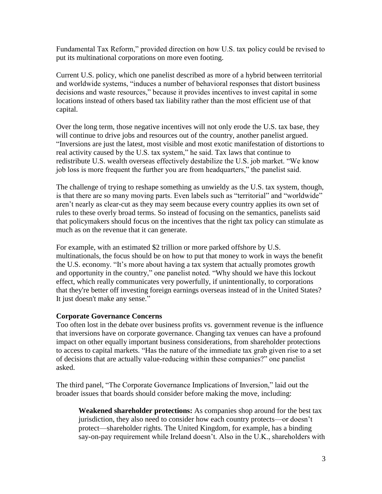Fundamental Tax Reform," provided direction on how U.S. tax policy could be revised to put its multinational corporations on more even footing.

Current U.S. policy, which one panelist described as more of a hybrid between territorial and worldwide systems, "induces a number of behavioral responses that distort business decisions and waste resources," because it provides incentives to invest capital in some locations instead of others based tax liability rather than the most efficient use of that capital.

Over the long term, those negative incentives will not only erode the U.S. tax base, they will continue to drive jobs and resources out of the country, another panelist argued. "Inversions are just the latest, most visible and most exotic manifestation of distortions to real activity caused by the U.S. tax system," he said. Tax laws that continue to redistribute U.S. wealth overseas effectively destabilize the U.S. job market. "We know job loss is more frequent the further you are from headquarters," the panelist said.

The challenge of trying to reshape something as unwieldy as the U.S. tax system, though, is that there are so many moving parts. Even labels such as "territorial" and "worldwide" aren't nearly as clear-cut as they may seem because every country applies its own set of rules to these overly broad terms. So instead of focusing on the semantics, panelists said that policymakers should focus on the incentives that the right tax policy can stimulate as much as on the revenue that it can generate.

For example, with an estimated \$2 trillion or more parked offshore by U.S. multinationals, the focus should be on how to put that money to work in ways the benefit the U.S. economy. "It's more about having a tax system that actually promotes growth and opportunity in the country," one panelist noted. "Why should we have this lockout effect, which really communicates very powerfully, if unintentionally, to corporations that they're better off investing foreign earnings overseas instead of in the United States? It just doesn't make any sense."

# **Corporate Governance Concerns**

Too often lost in the debate over business profits vs. government revenue is the influence that inversions have on corporate governance. Changing tax venues can have a profound impact on other equally important business considerations, from shareholder protections to access to capital markets. "Has the nature of the immediate tax grab given rise to a set of decisions that are actually value-reducing within these companies?" one panelist asked.

The third panel, "The Corporate Governance Implications of Inversion," laid out the broader issues that boards should consider before making the move, including:

**Weakened shareholder protections:** As companies shop around for the best tax jurisdiction, they also need to consider how each country protects—or doesn't protect—shareholder rights. The United Kingdom, for example, has a binding say-on-pay requirement while Ireland doesn't. Also in the U.K., shareholders with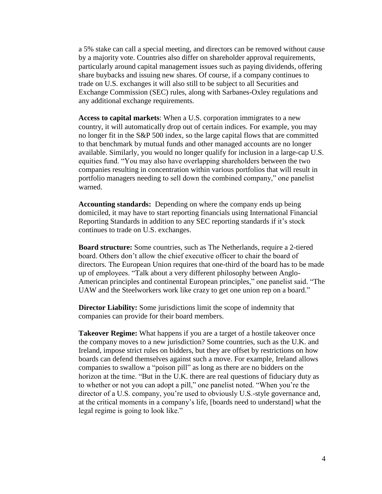a 5% stake can call a special meeting, and directors can be removed without cause by a majority vote. Countries also differ on shareholder approval requirements, particularly around capital management issues such as paying dividends, offering share buybacks and issuing new shares. Of course, if a company continues to trade on U.S. exchanges it will also still to be subject to all Securities and Exchange Commission (SEC) rules, along with Sarbanes-Oxley regulations and any additional exchange requirements.

**Access to capital markets**: When a U.S. corporation immigrates to a new country, it will automatically drop out of certain indices. For example, you may no longer fit in the S&P 500 index, so the large capital flows that are committed to that benchmark by mutual funds and other managed accounts are no longer available. Similarly, you would no longer qualify for inclusion in a large-cap U.S. equities fund. "You may also have overlapping shareholders between the two companies resulting in concentration within various portfolios that will result in portfolio managers needing to sell down the combined company," one panelist warned.

**Accounting standards:** Depending on where the company ends up being domiciled, it may have to start reporting financials using International Financial Reporting Standards in addition to any SEC reporting standards if it's stock continues to trade on U.S. exchanges.

**Board structure:** Some countries, such as The Netherlands, require a 2-tiered board. Others don't allow the chief executive officer to chair the board of directors. The European Union requires that one-third of the board has to be made up of employees. "Talk about a very different philosophy between Anglo-American principles and continental European principles," one panelist said. "The UAW and the Steelworkers work like crazy to get one union rep on a board."

**Director Liability:** Some jurisdictions limit the scope of indemnity that companies can provide for their board members.

**Takeover Regime:** What happens if you are a target of a hostile takeover once the company moves to a new jurisdiction? Some countries, such as the U.K. and Ireland, impose strict rules on bidders, but they are offset by restrictions on how boards can defend themselves against such a move. For example, Ireland allows companies to swallow a "poison pill" as long as there are no bidders on the horizon at the time. "But in the U.K. there are real questions of fiduciary duty as to whether or not you can adopt a pill," one panelist noted. "When you're the director of a U.S. company, you're used to obviously U.S.-style governance and, at the critical moments in a company's life, [boards need to understand] what the legal regime is going to look like."